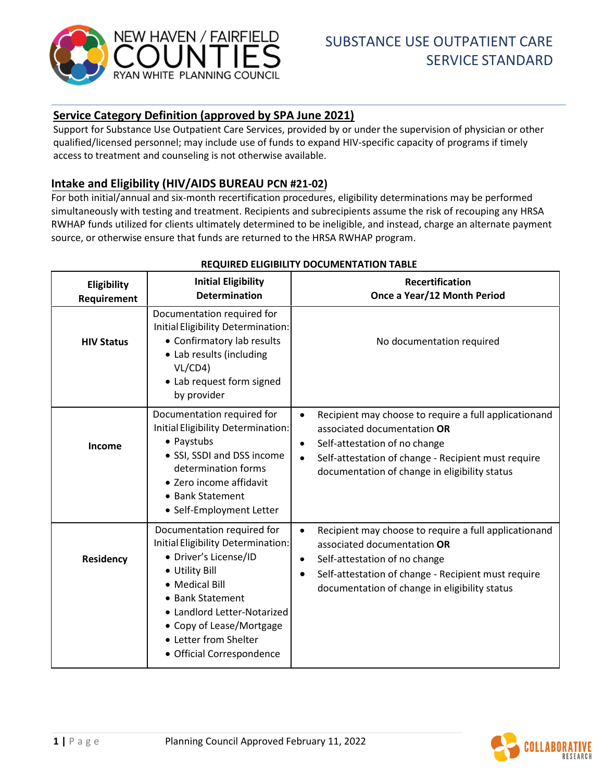

# **Service Category Definition (approved by SPA June 2021)**

Support for Substance Use Outpatient Care Services, provided by or under the supervision of physician or other qualified/licensed personnel; may include use of funds to expand HIV-specific capacity of programs if timely access to treatment and counseling is not otherwise available.

# **Intake and Eligibility (HIV/AIDS BUREAU PCN #21-02)**

For both initial/annual and six-month recertification procedures, eligibility determinations may be performed simultaneously with testing and treatment. Recipients and subrecipients assume the risk of recouping any HRSA RWHAP funds utilized for clients ultimately determined to be ineligible, and instead, charge an alternate payment source, or otherwise ensure that funds are returned to the HRSA RWHAP program.

| Eligibility<br>Requirement | <b>Initial Eligibility</b><br><b>Determination</b>                                                                                                                                                                                                                 | <b>Recertification</b><br>Once a Year/12 Month Period                                                                                                                                                                                                   |
|----------------------------|--------------------------------------------------------------------------------------------------------------------------------------------------------------------------------------------------------------------------------------------------------------------|---------------------------------------------------------------------------------------------------------------------------------------------------------------------------------------------------------------------------------------------------------|
| <b>HIV Status</b>          | Documentation required for<br>Initial Eligibility Determination:<br>• Confirmatory lab results<br>• Lab results (including<br>VL/CD4<br>• Lab request form signed<br>by provider                                                                                   | No documentation required                                                                                                                                                                                                                               |
| Income                     | Documentation required for<br>Initial Eligibility Determination:<br>• Paystubs<br>• SSI, SSDI and DSS income<br>determination forms<br>• Zero income affidavit<br>• Bank Statement<br>• Self-Employment Letter                                                     | Recipient may choose to require a full applicationand<br>associated documentation OR<br>Self-attestation of no change<br>$\bullet$<br>Self-attestation of change - Recipient must require<br>documentation of change in eligibility status              |
| Residency                  | Documentation required for<br>Initial Eligibility Determination:<br>· Driver's License/ID<br>• Utility Bill<br>• Medical Bill<br>• Bank Statement<br>• Landlord Letter-Notarized<br>• Copy of Lease/Mortgage<br>• Letter from Shelter<br>· Official Correspondence | Recipient may choose to require a full applicationand<br>$\bullet$<br>associated documentation OR<br>Self-attestation of no change<br>$\bullet$<br>Self-attestation of change - Recipient must require<br>documentation of change in eligibility status |

### **REQUIRED ELIGIBILITY DOCUMENTATION TABLE**

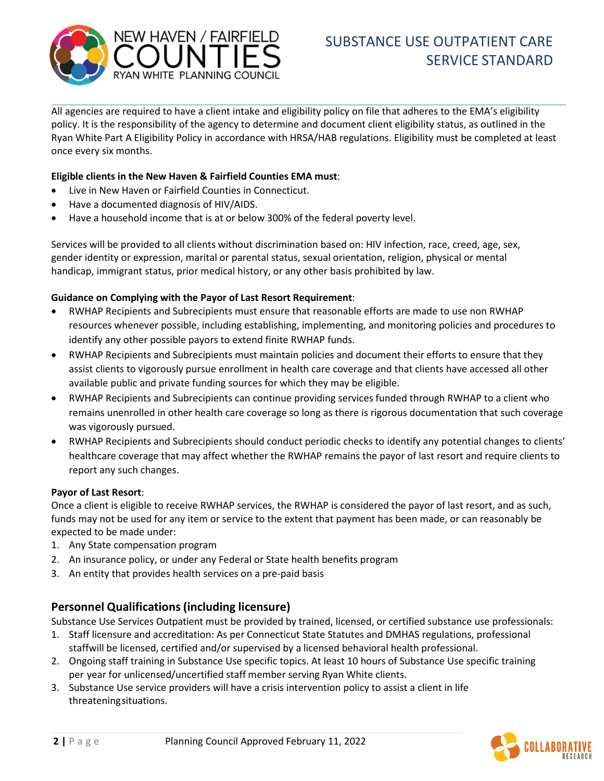

All agencies are required to have a client intake and eligibility policy on file that adheres to the EMA's eligibility policy. It is the responsibility of the agency to determine and document client eligibility status, as outlined in the Ryan White Part A Eligibility Policy in accordance with HRSA/HAB regulations. Eligibility must be completed at least once every six months.

### **Eligible clients in the New Haven & Fairfield Counties EMA must**:

- Live in New Haven or Fairfield Counties in Connecticut.
- Have a documented diagnosis of HIV/AIDS.
- Have a household income that is at or below 300% of the federal poverty level.

Services will be provided to all clients without discrimination based on: HIV infection, race, creed, age, sex, gender identity or expression, marital or parental status, sexual orientation, religion, physical or mental handicap, immigrant status, prior medical history, or any other basis prohibited by law.

### **Guidance on Complying with the Payor of Last Resort Requirement**:

- RWHAP Recipients and Subrecipients must ensure that reasonable efforts are made to use non RWHAP resources whenever possible, including establishing, implementing, and monitoring policies and procedures to identify any other possible payors to extend finite RWHAP funds.
- RWHAP Recipients and Subrecipients must maintain policies and document their efforts to ensure that they assist clients to vigorously pursue enrollment in health care coverage and that clients have accessed all other available public and private funding sources for which they may be eligible.
- RWHAP Recipients and Subrecipients can continue providing services funded through RWHAP to a client who remains unenrolled in other health care coverage so long as there is rigorous documentation that such coverage was vigorously pursued.
- RWHAP Recipients and Subrecipients should conduct periodic checks to identify any potential changes to clients' healthcare coverage that may affect whether the RWHAP remains the payor of last resort and require clients to report any such changes.

#### **Payor of Last Resort**:

Once a client is eligible to receive RWHAP services, the RWHAP is considered the payor of last resort, and as such, funds may not be used for any item or service to the extent that payment has been made, or can reasonably be expected to be made under:

- 1. Any State compensation program
- 2. An insurance policy, or under any Federal or State health benefits program
- 3. An entity that provides health services on a pre-paid basis

## **Personnel Qualifications(including licensure)**

Substance Use Services Outpatient must be provided by trained, licensed, or certified substance use professionals:

- 1. Staff licensure and accreditation: As per Connecticut State Statutes and DMHAS regulations, professional staffwill be licensed, certified and/or supervised by a licensed behavioral health professional.
- 2. Ongoing staff training in Substance Use specific topics. At least 10 hours of Substance Use specific training per year for unlicensed/uncertified staff member serving Ryan White clients.
- 3. Substance Use service providers will have a crisis intervention policy to assist a client in life threatening situations.

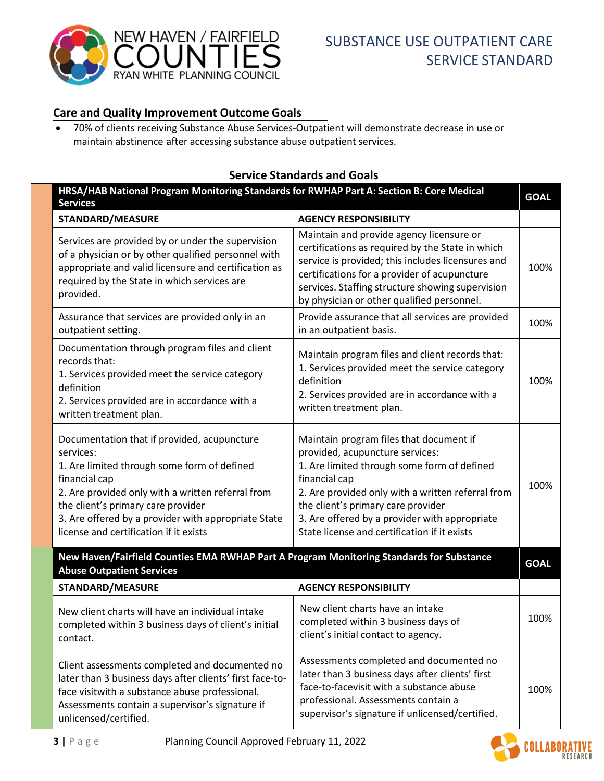

# **Care and Quality Improvement Outcome Goals**

• 70% of clients receiving Substance Abuse Services-Outpatient will demonstrate decrease in use or maintain abstinence after accessing substance abuse outpatient services.

## **Service Standards and Goals**

| HRSA/HAB National Program Monitoring Standards for RWHAP Part A: Section B: Core Medical<br><b>Services</b>                                                                                                                                                                                                          |                                                                                                                                                                                                                                                                                                                                        |             |
|----------------------------------------------------------------------------------------------------------------------------------------------------------------------------------------------------------------------------------------------------------------------------------------------------------------------|----------------------------------------------------------------------------------------------------------------------------------------------------------------------------------------------------------------------------------------------------------------------------------------------------------------------------------------|-------------|
| <b>STANDARD/MEASURE</b>                                                                                                                                                                                                                                                                                              | <b>AGENCY RESPONSIBILITY</b>                                                                                                                                                                                                                                                                                                           |             |
| Services are provided by or under the supervision<br>of a physician or by other qualified personnel with<br>appropriate and valid licensure and certification as<br>required by the State in which services are<br>provided.                                                                                         | Maintain and provide agency licensure or<br>certifications as required by the State in which<br>service is provided; this includes licensures and<br>certifications for a provider of acupuncture<br>services. Staffing structure showing supervision<br>by physician or other qualified personnel.                                    | 100%        |
| Assurance that services are provided only in an<br>outpatient setting.                                                                                                                                                                                                                                               | Provide assurance that all services are provided<br>in an outpatient basis.                                                                                                                                                                                                                                                            | 100%        |
| Documentation through program files and client<br>records that:<br>1. Services provided meet the service category<br>definition<br>2. Services provided are in accordance with a<br>written treatment plan.                                                                                                          | Maintain program files and client records that:<br>1. Services provided meet the service category<br>definition<br>2. Services provided are in accordance with a<br>written treatment plan.                                                                                                                                            | 100%        |
| Documentation that if provided, acupuncture<br>services:<br>1. Are limited through some form of defined<br>financial cap<br>2. Are provided only with a written referral from<br>the client's primary care provider<br>3. Are offered by a provider with appropriate State<br>license and certification if it exists | Maintain program files that document if<br>provided, acupuncture services:<br>1. Are limited through some form of defined<br>financial cap<br>2. Are provided only with a written referral from<br>the client's primary care provider<br>3. Are offered by a provider with appropriate<br>State license and certification if it exists | 100%        |
| New Haven/Fairfield Counties EMA RWHAP Part A Program Monitoring Standards for Substance<br><b>Abuse Outpatient Services</b>                                                                                                                                                                                         |                                                                                                                                                                                                                                                                                                                                        | <b>GOAL</b> |
| <b>STANDARD/MEASURE</b>                                                                                                                                                                                                                                                                                              | <b>AGENCY RESPONSIBILITY</b>                                                                                                                                                                                                                                                                                                           |             |
| New client charts will have an individual intake<br>completed within 3 business days of client's initial<br>contact.                                                                                                                                                                                                 | New client charts have an intake<br>completed within 3 business days of<br>client's initial contact to agency.                                                                                                                                                                                                                         | 100%        |
| Client assessments completed and documented no<br>later than 3 business days after clients' first face-to-<br>face visitwith a substance abuse professional.<br>Assessments contain a supervisor's signature if<br>unlicensed/certified.                                                                             | Assessments completed and documented no<br>later than 3 business days after clients' first<br>face-to-facevisit with a substance abuse<br>professional. Assessments contain a<br>supervisor's signature if unlicensed/certified.                                                                                                       | 100%        |

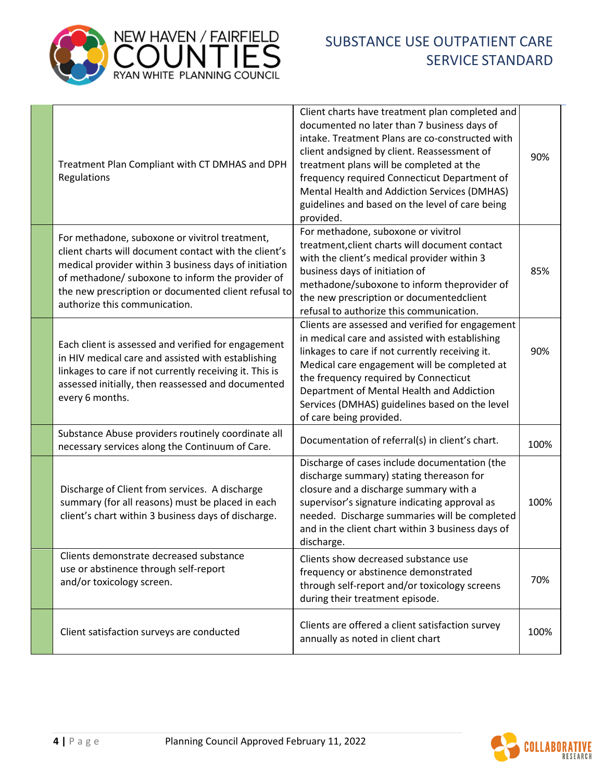



| Treatment Plan Compliant with CT DMHAS and DPH<br>Regulations                                                                                                                                                                                                                                                 | Client charts have treatment plan completed and<br>documented no later than 7 business days of<br>intake. Treatment Plans are co-constructed with<br>client andsigned by client. Reassessment of<br>treatment plans will be completed at the<br>frequency required Connecticut Department of<br>Mental Health and Addiction Services (DMHAS)<br>guidelines and based on the level of care being<br>provided. | 90%  |
|---------------------------------------------------------------------------------------------------------------------------------------------------------------------------------------------------------------------------------------------------------------------------------------------------------------|--------------------------------------------------------------------------------------------------------------------------------------------------------------------------------------------------------------------------------------------------------------------------------------------------------------------------------------------------------------------------------------------------------------|------|
| For methadone, suboxone or vivitrol treatment,<br>client charts will document contact with the client's<br>medical provider within 3 business days of initiation<br>of methadone/ suboxone to inform the provider of<br>the new prescription or documented client refusal to<br>authorize this communication. | For methadone, suboxone or vivitrol<br>treatment, client charts will document contact<br>with the client's medical provider within 3<br>business days of initiation of<br>methadone/suboxone to inform theprovider of<br>the new prescription or documentedclient<br>refusal to authorize this communication.                                                                                                | 85%  |
| Each client is assessed and verified for engagement<br>in HIV medical care and assisted with establishing<br>linkages to care if not currently receiving it. This is<br>assessed initially, then reassessed and documented<br>every 6 months.                                                                 | Clients are assessed and verified for engagement<br>in medical care and assisted with establishing<br>linkages to care if not currently receiving it.<br>Medical care engagement will be completed at<br>the frequency required by Connecticut<br>Department of Mental Health and Addiction<br>Services (DMHAS) guidelines based on the level<br>of care being provided.                                     | 90%  |
| Substance Abuse providers routinely coordinate all<br>necessary services along the Continuum of Care.                                                                                                                                                                                                         | Documentation of referral(s) in client's chart.                                                                                                                                                                                                                                                                                                                                                              | 100% |
| Discharge of Client from services. A discharge<br>summary (for all reasons) must be placed in each<br>client's chart within 3 business days of discharge.                                                                                                                                                     | Discharge of cases include documentation (the<br>discharge summary) stating thereason for<br>closure and a discharge summary with a<br>supervisor's signature indicating approval as<br>needed. Discharge summaries will be completed<br>and in the client chart within 3 business days of<br>discharge.                                                                                                     | 100% |
| Clients demonstrate decreased substance<br>use or abstinence through self-report<br>and/or toxicology screen.                                                                                                                                                                                                 | Clients show decreased substance use<br>frequency or abstinence demonstrated<br>through self-report and/or toxicology screens<br>during their treatment episode.                                                                                                                                                                                                                                             | 70%  |
| Client satisfaction surveys are conducted                                                                                                                                                                                                                                                                     | Clients are offered a client satisfaction survey<br>annually as noted in client chart                                                                                                                                                                                                                                                                                                                        | 100% |